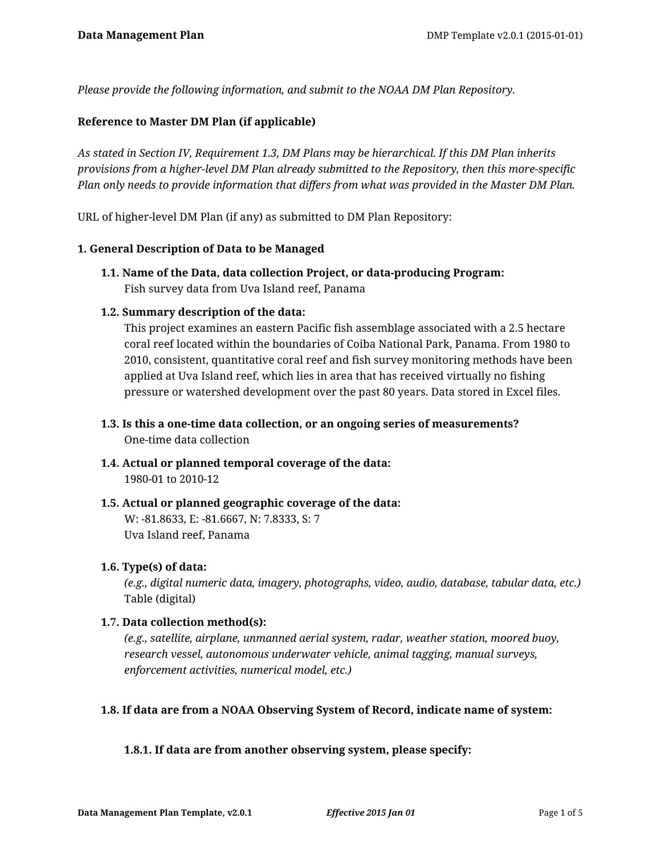*Please provide the following information, and submit to the NOAA DM Plan Repository.*

## **Reference to Master DM Plan (if applicable)**

*As stated in Section IV, Requirement 1.3, DM Plans may be hierarchical. If this DM Plan inherits provisions from a higher-level DM Plan already submitted to the Repository, then this more-specific Plan only needs to provide information that differs from what was provided in the Master DM Plan.*

URL of higher-level DM Plan (if any) as submitted to DM Plan Repository:

### **1. General Description of Data to be Managed**

**1.1. Name of the Data, data collection Project, or data-producing Program:** Fish survey data from Uva Island reef, Panama

### **1.2. Summary description of the data:**

This project examines an eastern Pacific fish assemblage associated with a 2.5 hectare coral reef located within the boundaries of Coiba National Park, Panama. From 1980 to 2010, consistent, quantitative coral reef and fish survey monitoring methods have been applied at Uva Island reef, which lies in area that has received virtually no fishing pressure or watershed development over the past 80 years. Data stored in Excel files.

- **1.3. Is this a one-time data collection, or an ongoing series of measurements?** One-time data collection
- **1.4. Actual or planned temporal coverage of the data:** 1980-01 to 2010-12
- **1.5. Actual or planned geographic coverage of the data:** W: -81.8633, E: -81.6667, N: 7.8333, S: 7 Uva Island reef, Panama

### **1.6. Type(s) of data:**

*(e.g., digital numeric data, imagery, photographs, video, audio, database, tabular data, etc.)* Table (digital)

### **1.7. Data collection method(s):**

*(e.g., satellite, airplane, unmanned aerial system, radar, weather station, moored buoy, research vessel, autonomous underwater vehicle, animal tagging, manual surveys, enforcement activities, numerical model, etc.)*

### **1.8. If data are from a NOAA Observing System of Record, indicate name of system:**

### **1.8.1. If data are from another observing system, please specify:**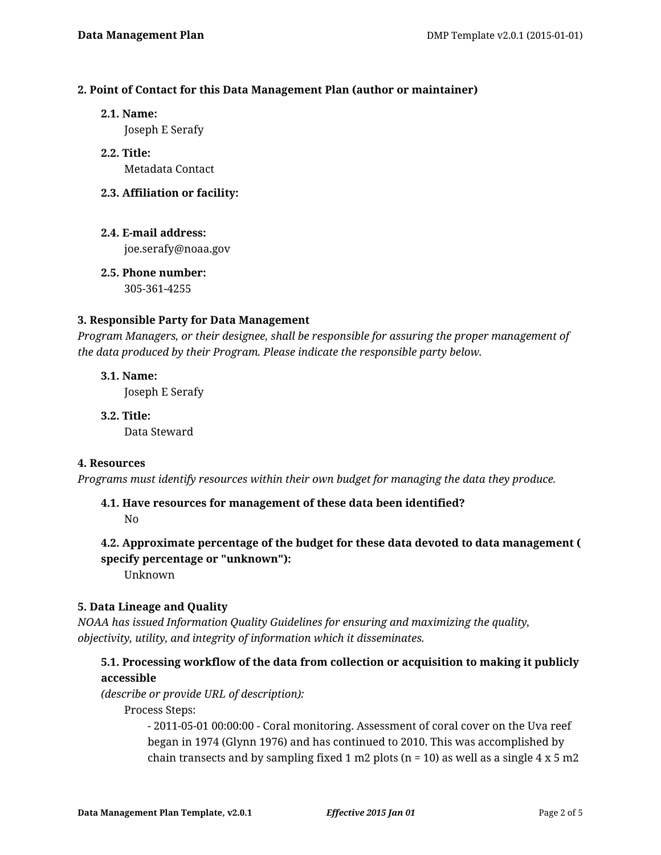# **2. Point of Contact for this Data Management Plan (author or maintainer)**

**2.1. Name:**

Joseph E Serafy

- **2.2. Title:** Metadata Contact
- **2.3. Affiliation or facility:**
- **2.4. E-mail address:** joe.serafy@noaa.gov
- **2.5. Phone number:** 305-361-4255

### **3. Responsible Party for Data Management**

*Program Managers, or their designee, shall be responsible for assuring the proper management of the data produced by their Program. Please indicate the responsible party below.*

**3.1. Name:** Joseph E Serafy

**3.2. Title:** Data Steward

### **4. Resources**

*Programs must identify resources within their own budget for managing the data they produce.*

# **4.1. Have resources for management of these data been identified?**

No

# **4.2. Approximate percentage of the budget for these data devoted to data management ( specify percentage or "unknown"):**

Unknown

# **5. Data Lineage and Quality**

*NOAA has issued Information Quality Guidelines for ensuring and maximizing the quality, objectivity, utility, and integrity of information which it disseminates.*

# **5.1. Processing workflow of the data from collection or acquisition to making it publicly accessible**

*(describe or provide URL of description):*

Process Steps:

- 2011-05-01 00:00:00 - Coral monitoring. Assessment of coral cover on the Uva reef began in 1974 (Glynn 1976) and has continued to 2010. This was accomplished by chain transects and by sampling fixed 1 m2 plots ( $n = 10$ ) as well as a single 4 x 5 m2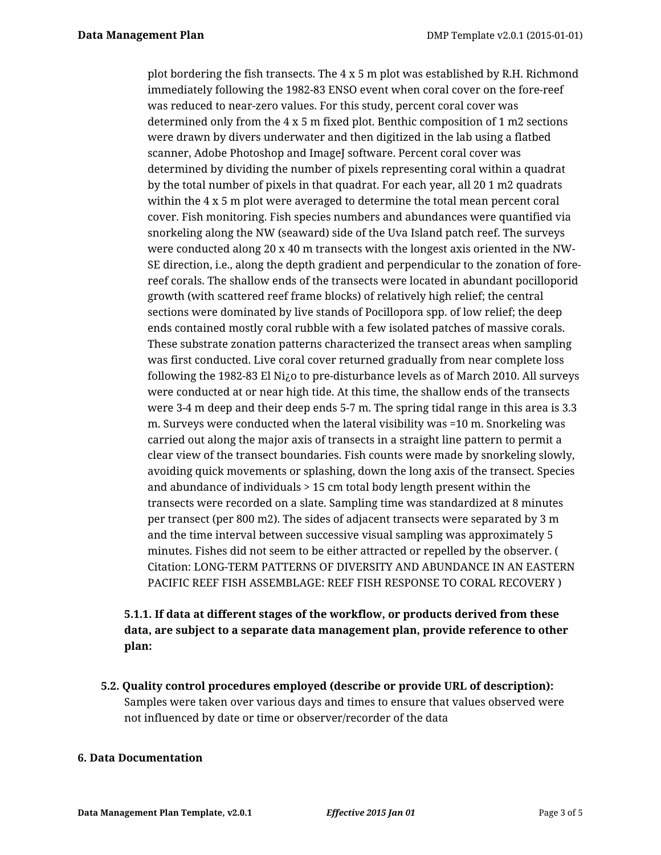plot bordering the fish transects. The  $4 \times 5$  m plot was established by R.H. Richmond immediately following the 1982-83 ENSO event when coral cover on the fore-reef was reduced to near-zero values. For this study, percent coral cover was determined only from the 4 x 5 m fixed plot. Benthic composition of 1 m2 sections were drawn by divers underwater and then digitized in the lab using a flatbed scanner, Adobe Photoshop and ImageJ software. Percent coral cover was determined by dividing the number of pixels representing coral within a quadrat by the total number of pixels in that quadrat. For each year, all 20 1 m2 quadrats within the 4 x 5 m plot were averaged to determine the total mean percent coral cover. Fish monitoring. Fish species numbers and abundances were quantified via snorkeling along the NW (seaward) side of the Uva Island patch reef. The surveys were conducted along 20 x 40 m transects with the longest axis oriented in the NW-SE direction, i.e., along the depth gradient and perpendicular to the zonation of forereef corals. The shallow ends of the transects were located in abundant pocilloporid growth (with scattered reef frame blocks) of relatively high relief; the central sections were dominated by live stands of Pocillopora spp. of low relief; the deep ends contained mostly coral rubble with a few isolated patches of massive corals. These substrate zonation patterns characterized the transect areas when sampling was first conducted. Live coral cover returned gradually from near complete loss following the 1982-83 El Ni¿o to pre-disturbance levels as of March 2010. All surveys were conducted at or near high tide. At this time, the shallow ends of the transects were 3-4 m deep and their deep ends 5-7 m. The spring tidal range in this area is 3.3 m. Surveys were conducted when the lateral visibility was =10 m. Snorkeling was carried out along the major axis of transects in a straight line pattern to permit a clear view of the transect boundaries. Fish counts were made by snorkeling slowly, avoiding quick movements or splashing, down the long axis of the transect. Species and abundance of individuals > 15 cm total body length present within the transects were recorded on a slate. Sampling time was standardized at 8 minutes per transect (per 800 m2). The sides of adjacent transects were separated by 3 m and the time interval between successive visual sampling was approximately 5 minutes. Fishes did not seem to be either attracted or repelled by the observer. ( Citation: LONG-TERM PATTERNS OF DIVERSITY AND ABUNDANCE IN AN EASTERN PACIFIC REEF FISH ASSEMBLAGE: REEF FISH RESPONSE TO CORAL RECOVERY )

# **5.1.1. If data at different stages of the workflow, or products derived from these data, are subject to a separate data management plan, provide reference to other plan:**

**5.2. Quality control procedures employed (describe or provide URL of description):** Samples were taken over various days and times to ensure that values observed were not influenced by date or time or observer/recorder of the data

### **6. Data Documentation**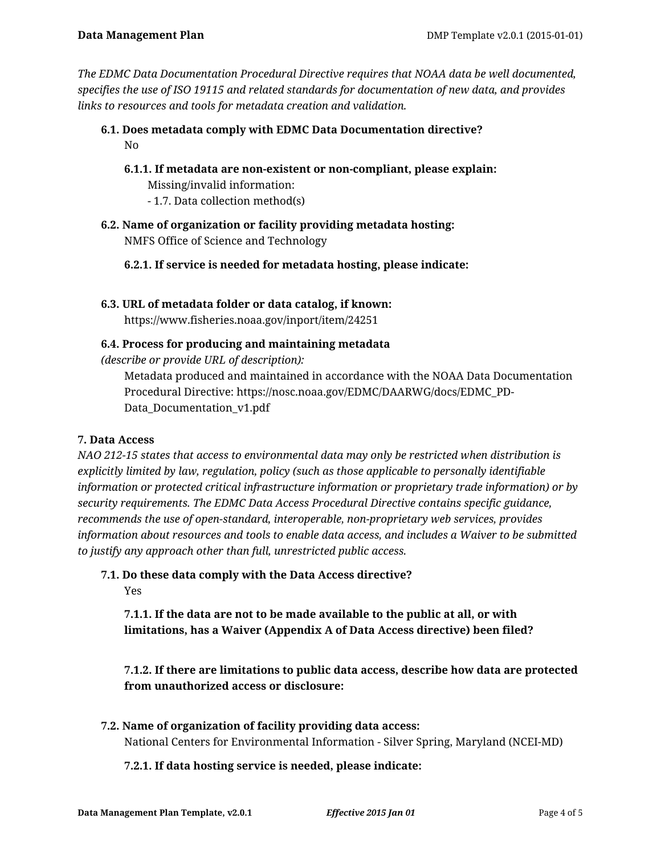*The EDMC Data Documentation Procedural Directive requires that NOAA data be well documented, specifies the use of ISO 19115 and related standards for documentation of new data, and provides links to resources and tools for metadata creation and validation.*

- **6.1. Does metadata comply with EDMC Data Documentation directive?** No
	- **6.1.1. If metadata are non-existent or non-compliant, please explain:** Missing/invalid information: - 1.7. Data collection method(s)
- **6.2. Name of organization or facility providing metadata hosting:** NMFS Office of Science and Technology
	- **6.2.1. If service is needed for metadata hosting, please indicate:**
- **6.3. URL of metadata folder or data catalog, if known:**

https://www.fisheries.noaa.gov/inport/item/24251

# **6.4. Process for producing and maintaining metadata**

*(describe or provide URL of description):*

Metadata produced and maintained in accordance with the NOAA Data Documentation Procedural Directive: https://nosc.noaa.gov/EDMC/DAARWG/docs/EDMC\_PD-Data\_Documentation\_v1.pdf

# **7. Data Access**

*NAO 212-15 states that access to environmental data may only be restricted when distribution is explicitly limited by law, regulation, policy (such as those applicable to personally identifiable information or protected critical infrastructure information or proprietary trade information) or by security requirements. The EDMC Data Access Procedural Directive contains specific guidance, recommends the use of open-standard, interoperable, non-proprietary web services, provides information about resources and tools to enable data access, and includes a Waiver to be submitted to justify any approach other than full, unrestricted public access.*

**7.1. Do these data comply with the Data Access directive?**

Yes

**7.1.1. If the data are not to be made available to the public at all, or with limitations, has a Waiver (Appendix A of Data Access directive) been filed?**

**7.1.2. If there are limitations to public data access, describe how data are protected from unauthorized access or disclosure:**

**7.2. Name of organization of facility providing data access:** National Centers for Environmental Information - Silver Spring, Maryland (NCEI-MD)

**7.2.1. If data hosting service is needed, please indicate:**